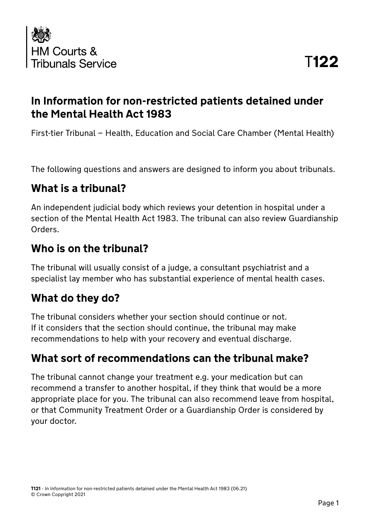

### **In Information for non-restricted patients detained under the Mental Health Act 1983**

First-tier Tribunal – Health, Education and Social Care Chamber (Mental Health)

The following questions and answers are designed to inform you about tribunals.

### **What is a tribunal?**

An independent judicial body which reviews your detention in hospital under a section of the Mental Health Act 1983. The tribunal can also review Guardianship Orders.

### **Who is on the tribunal?**

The tribunal will usually consist of a judge, a consultant psychiatrist and a specialist lay member who has substantial experience of mental health cases.

### **What do they do?**

The tribunal considers whether your section should continue or not. If it considers that the section should continue, the tribunal may make recommendations to help with your recovery and eventual discharge.

### **What sort of recommendations can the tribunal make?**

The tribunal cannot change your treatment e.g. your medication but can recommend a transfer to another hospital, if they think that would be a more appropriate place for you. The tribunal can also recommend leave from hospital, or that Community Treatment Order or a Guardianship Order is considered by your doctor.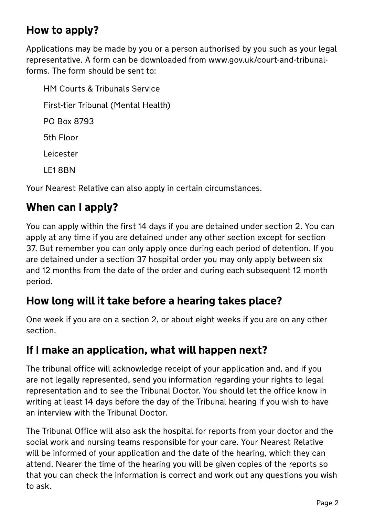## **How to apply?**

Applications may be made by you or a person authorised by you such as your legal representative. A form can be downloaded from www.gov.uk/court-and-tribunalforms. The form should be sent to:

HM Courts & Tribunals Service First-tier Tribunal (Mental Health) PO Box 8793 5th Floor Leicester LE1 8BN

Your Nearest Relative can also apply in certain circumstances.

## **When can I apply?**

You can apply within the first 14 days if you are detained under section 2. You can apply at any time if you are detained under any other section except for section 37. But remember you can only apply once during each period of detention. If you are detained under a section 37 hospital order you may only apply between six and 12 months from the date of the order and during each subsequent 12 month period.

### **How long will it take before a hearing takes place?**

One week if you are on a section 2, or about eight weeks if you are on any other section.

#### **If I make an application, what will happen next?**

The tribunal office will acknowledge receipt of your application and, and if you are not legally represented, send you information regarding your rights to legal representation and to see the Tribunal Doctor. You should let the office know in writing at least 14 days before the day of the Tribunal hearing if you wish to have an interview with the Tribunal Doctor.

The Tribunal Office will also ask the hospital for reports from your doctor and the social work and nursing teams responsible for your care. Your Nearest Relative will be informed of your application and the date of the hearing, which they can attend. Nearer the time of the hearing you will be given copies of the reports so that you can check the information is correct and work out any questions you wish to ask.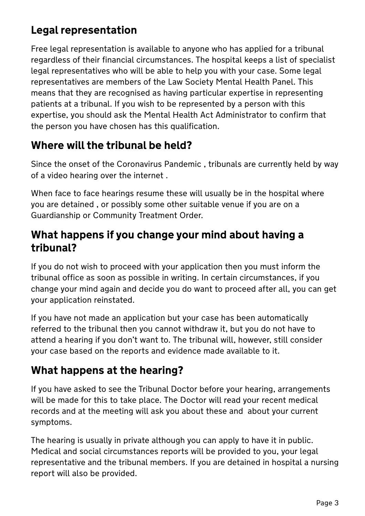# **Legal representation**

Free legal representation is available to anyone who has applied for a tribunal regardless of their financial circumstances. The hospital keeps a list of specialist legal representatives who will be able to help you with your case. Some legal representatives are members of the Law Society Mental Health Panel. This means that they are recognised as having particular expertise in representing patients at a tribunal. If you wish to be represented by a person with this expertise, you should ask the Mental Health Act Administrator to confirm that the person you have chosen has this qualification.

### **Where will the tribunal be held?**

Since the onset of the Coronavirus Pandemic , tribunals are currently held by way of a video hearing over the internet .

When face to face hearings resume these will usually be in the hospital where you are detained , or possibly some other suitable venue if you are on a Guardianship or Community Treatment Order.

### **What happens if you change your mind about having a tribunal?**

If you do not wish to proceed with your application then you must inform the tribunal office as soon as possible in writing. In certain circumstances, if you change your mind again and decide you do want to proceed after all, you can get your application reinstated.

If you have not made an application but your case has been automatically referred to the tribunal then you cannot withdraw it, but you do not have to attend a hearing if you don't want to. The tribunal will, however, still consider your case based on the reports and evidence made available to it.

### **What happens at the hearing?**

If you have asked to see the Tribunal Doctor before your hearing, arrangements will be made for this to take place. The Doctor will read your recent medical records and at the meeting will ask you about these and about your current symptoms.

The hearing is usually in private although you can apply to have it in public. Medical and social circumstances reports will be provided to you, your legal representative and the tribunal members. If you are detained in hospital a nursing report will also be provided.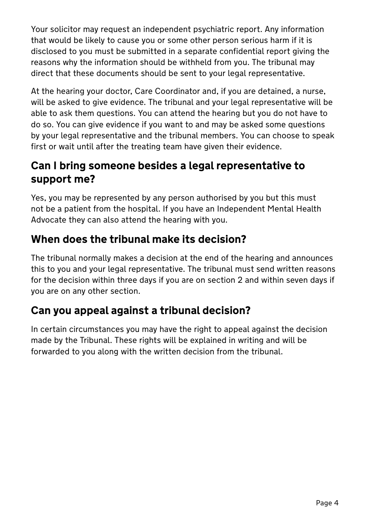Your solicitor may request an independent psychiatric report. Any information that would be likely to cause you or some other person serious harm if it is disclosed to you must be submitted in a separate confidential report giving the reasons why the information should be withheld from you. The tribunal may direct that these documents should be sent to your legal representative.

At the hearing your doctor, Care Coordinator and, if you are detained, a nurse, will be asked to give evidence. The tribunal and your legal representative will be able to ask them questions. You can attend the hearing but you do not have to do so. You can give evidence if you want to and may be asked some questions by your legal representative and the tribunal members. You can choose to speak first or wait until after the treating team have given their evidence.

### **Can I bring someone besides a legal representative to support me?**

Yes, you may be represented by any person authorised by you but this must not be a patient from the hospital. If you have an Independent Mental Health Advocate they can also attend the hearing with you.

## **When does the tribunal make its decision?**

The tribunal normally makes a decision at the end of the hearing and announces this to you and your legal representative. The tribunal must send written reasons for the decision within three days if you are on section 2 and within seven days if you are on any other section.

## **Can you appeal against a tribunal decision?**

In certain circumstances you may have the right to appeal against the decision made by the Tribunal. These rights will be explained in writing and will be forwarded to you along with the written decision from the tribunal.